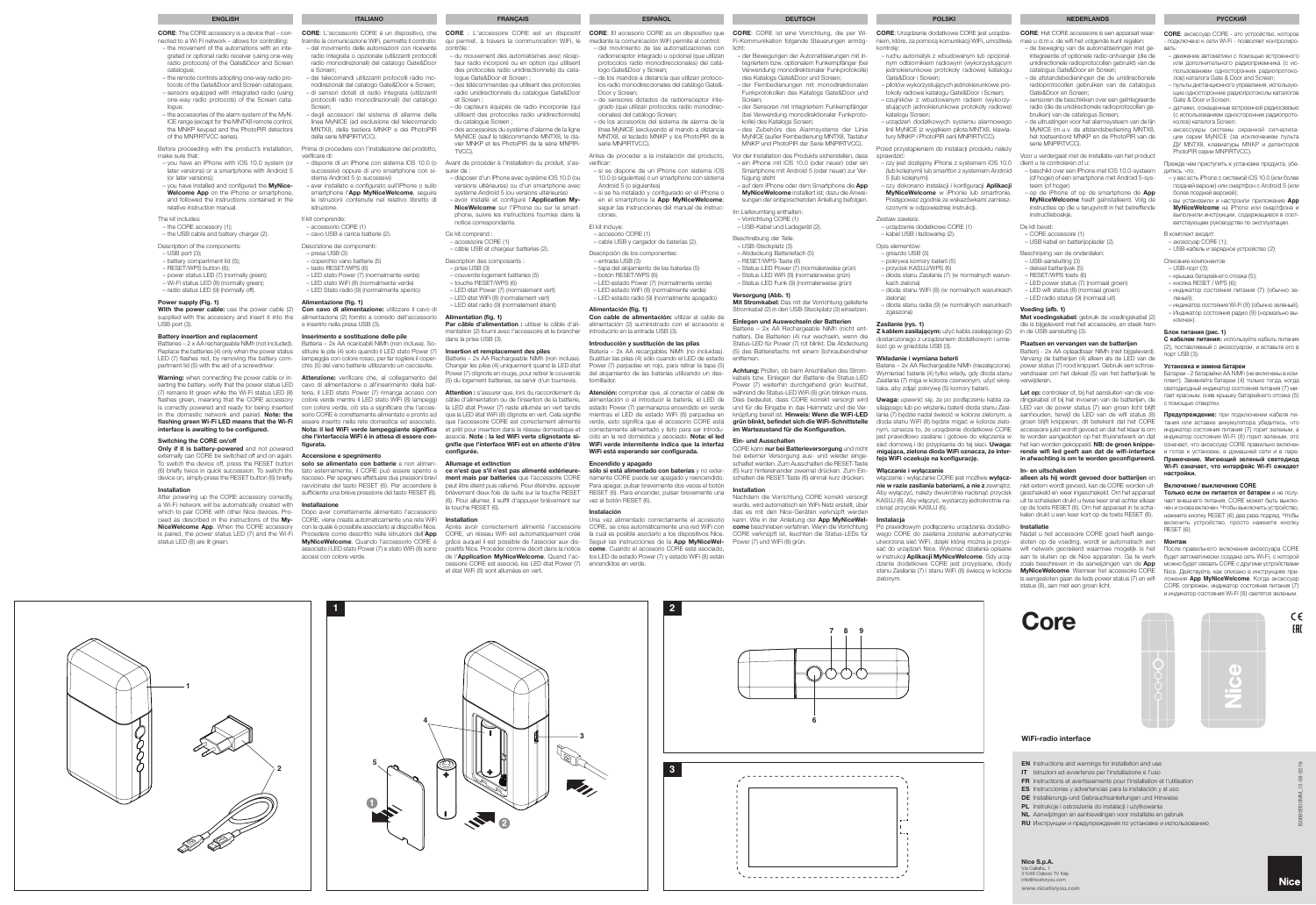- EN Instructions and warnings for installation and use
- IT Istruzioni ed avvertenze per l'installazione e l'uso
- FR Instructions et avertissements pour l'installation et l'utilisation
- ES Instrucciones y advertencias para la instalación y el uso
- DE Installierungs-und Gebrauchsanleitungen und Hinweise
- PL Instrukcje i ostrzeżenia do instalacji i użytkowania
- NL Aanwijzingen en aanbevelingen voor installatie en gebruik
- **RU** Инструкции и предупреждения по установке и использованию

www.niceforyou.com Via Callalta, 1 31046 Oderzo TV Italy info@niceforyou.com

Core



**2**

**1**

 $\mathcal{C}$ 

**1**

**5**

**4**

**3**

**1**

**6**

**7 8 9**

000C

**2**

**3**

# **Encendido y apagado<br>sólo si está alimentado con baterías** y no exter-

# Nice S.p.A.

## WiFi-radio interface

CORE: L'accessorio CORE è un dispositivo, che tramite la comunicazione WiFi, permette il controllo: – del movimento delle automazioni con ricevente radio integrata o opzionale (utilizzanti protocolli radio monodirezionali) del catalogo Gate&Door

**Con cavo di alimentazione:** utilizzare il cavo di<br>alimentazione (2) fornito a corredo dell'accessorio e inserirlo nella presa USB (3).

- e Screen; – dei telecomandi utilizzanti protocolli radio monodirezionali del catalogo Gate&Door e Screen; – di sensori dotati di radio integrata (utilizzanti protocolli radio monodirezionali) del catalogo
- Screen; – degli accessori del sistema di allarme della linea MyNICE (ad esclusione del telecomando MNTX8, della tastiera MNKP e dei PhotoPIR della serie MNPIRTVCC).

Prima di procedere con l'installazione del prodotto, verificare di:

Attenzione: verificare che, al collegamento del cavo di alimentazione o all'inserimento della bat-(7) remains lit green while the Wi-Fi status LED (8) teria, il LED stato Power (7) rimanga acceso con colore verde mentre il LED stato WiFi (8) lampeggi con colore verde, ciò sta a significare che l'accesin the domestic network and paired. Note: the sorio CORE è correttamente alimentato e pronto ad essere inserito nella rete domestica ed associato. Nota: il led WiFi verde lampeggiante significa che l'interfaccia WiFi è in attesa di essere configurata.

- disporre di un iPhone con sistema iOS 10.0 (o Avant de procéder à l'installation du produit, s'assuccessivi) oppure di uno smartphone con sistema Android 5 (o successivi) – aver installato e configurato sull'iPhone o sullo
- smartphone l'App MyNiceWelcome, seguire le istruzioni contenute nel relativo libretto di istruzione.

solo se alimentato con batterie e non alimenriacceso. Per spegnere effettuare due pressioni brevi ravvicinate del tasto RESET (6). Per accendere è sufficiente una breve pressione del tasto RESET (6).

## Il kit comprende:

Dopo aver correttamente alimentato l'access CORE, viene creata automaticamente una rete WiFi con la quale è possibile associarlo ai dispositivi Nice. Procedere come descritto nelle istruzioni dell'App MyNiceWelcome. Quando l'accessorio CORE è associato i LED stato Power (7) e stato WiFi (8) sono accesi con colore verde.

- accessorio CORE (1) – cavo USB e carica batterie (2).
- Descrizione dei componenti:
- presa USB (3) – coperchio vano batterie (5)
- tasto RESET/WPS (6)
- LED stato Power (7) (normalmente verde)
- LED stato WiFi (8) (normalmente verde) – LED Stato radio (9) (normalmente spento)

## Alimentazione (fig. 1)

#### Inserimento e sostituzione delle pile

Batteria – 2x AA ricaricabili NiMh (non incluse). Sostituire le pile (4) solo quando il LED stato Power (7) lampeggia con colore rosso, per far togliere il coperchio (5) del vano batterie utilizzando un cacciavite.

#### Installazione

- make sure that: – you have an iPhone with iOS 10.0 system (or
- later versions) or a smartphone with Android 5 (or later versions);  $\sim$  you have installed and configured the **MyNice-**
- Welcome App on the iPhone or smartphone. and followed the instructions contained in the lative instruction manual.

**CORE**: аксессуар CORE - это устройство, которое - подключено к сети Wi-Fi - позволяет контролиро-

With the power cable: use the power cable (2) supplied with the accessory and insert it into the USB port (3).

- вать: движение автоматики с помощью встроенного или дополнительного радиоприемника (с использованием односторонних радиопротоколов) каталога Gate & Door and Screen;
- пульты дистанционного управления, использующие односторонние радиопротоколы каталогов Gate & Door и Screen;
- датчики, оснащенные встроенной радиосвязью (с использованием односторонних радиопротоколов) каталога Screen;
- аксессуары системы охранной сигнализации серии MyNICE (за исключением пульта ДУ MNTX8, клавиатуры MNKP и детекторов PhotoPIR серии MNPIRTVCC).

Warning: when connecting the power cable or inserting the battery, verify that the power status LED flashes green, meaning that the CORE accessory is correctly powered and ready for being inserted flashing green Wi-Fi LED means that the Wi-Fi interface is awaiting to be configured.

#### Прежде чем приступить к установке продукта, убедитесь, что:

externally can CORE be switched off and on again. **Accensione e spegnimento** (6) briefly twice in quick succession. To switch the tato esternamente, il CORE può essere spento e Only if it is battery-powered and not powered To switch the device off, press the RESET button device on, simply press the RESET button (6) briefly.

- у вас есть iPhone с системой iOS 10.0 (или более поздней версии) или смартфон с Android 5 (или более поздней версией);
- вы установили и настроили приложение **App MyNiceWelcome** на iPhone или смартфоне и выполнили инструкции, содержащиеся в соответствующем руководстве по эксплуатации.
- В комплект входит:
- аксессуар CORE (1); – USB-кабель и зарядное устройство (2).
- 
- Описание компонентов: – USB-порт (3);
- крышка батарейного отсека (5);
- кнопка RESET / WPS (6); – индикатор состояния питания (7) (обычно зе-
- леный); индикатор состояния Wi-Fi (8) (обычно зеленый);
- Индикатор состояния радио (9) (нормально выключен).

## **Блок питания (рис. 1)**

surer de – disposer d'un iPhone avec système iOS 10.0 (ou

versions ultérieures) ou d'un smartphone avec système Android 5 (ou versions ultérieures) - avoir installé et configuré l'Application My-

> **С кабелем питания:** используйте кабель питания (2), поставляемый с аксессуаром, и вставьте его в порт USB (3).

#### **Установка и замена батареи**

Батареи - 2 батарейки АА NiMh (не включены в комплект). Заменяйте батареи (4) только тогда, когда  $\overline{\text{R}}$ ветодиодный индикатор состояния питания (7) м гает красным, сняв крышку батарейного отсека (5) с помощью отвертки.

**Предупреждение:** при подключении кабеля питания или вставке аккумулятора убедитесь, что индикатор состояния питания (7) горит зеленым, а индикатор состояния Wi-Fi (8) горит зеленым, это означает, что аксессуар CORE правильно включен и готов к установке, в домашней сети и в паре.

configurée. Allumage et extinction ce n'est que s'il n'est pas alimenté extérieure**ment mais par batteries** que l'accessoire CORE<br>peut être éteint puis rallumé. Pour éteindre, appuyer

**Примечание. Мигающий зеленый светодиод Wi-Fi означает, что интерфейс Wi-Fi ожидает настройки.**

### **Включение / выключение CORE**

**Только если он питается от батареи** и не получает внешнего питания, CORE может быть выключен и снова включен. Чтобы выключить устройство, нажмите кнопку RESET (6) два раза подряд. Чтобы включить устройство, просто нажмите кнопку RESET (6).

#### **Монтаж**

После правильного включения аксессуара CORE будет автоматически создана сеть Wi-Fi, с которой можно будет связать CORE с другими устройствами Nice. Действуйте, как описано в инструкциях приложения **App MyNiceWelcome**. Когда аксессуар CORE сопряжен, индикатор состояния питания (7) и индикатор состояния Wi-Fi (8) светятся зеленым.

> $C \in$ **EAL**

CORE: The CORE accessory is a device that – connected to a Wi-Fi network – allows for controlling: – the movement of the automations with an inte-

- grated or optional radio receiver (using one-way radio protocols) of the Gate&Door and Screen catalogue;
- the remote controls adopting one-way radio protocols of the Gate&Door and Screen catalogues; – sensors equipped with integrated radio (using one-way radio protocols) of the Screen catalogue;
- the accessories of the alarm system of the MyN-ICE range (except for the MNTX8 remote control, the MNKP keypad and the PhotoPIR detectors of the MNPIRTVCC series).

## Before proceeding with the product's installation,

Una vez alimentado correctamente el accesorio CORE, se crea automáticamente una red WiFi con Seguir las instrucciones de la App MyNiceWel-

#### The kit includes:

- the CORE accessory (1); – the USB cable and battery charger (2).
- Description of the components:
- USB port (3);
- battery compartment lid (5);
- RESET/WPS button (6);
- power status LED (7) (normally green); – Wi-Fi status LED (8) (normally green);
- radio status LED (9) (normally off).

## Power supply (Fig. 1)

#### Battery insertion and replacement

auf dem iPhone oder dem Smartphone die App MyNiceWelcome installiert ist; dazu die Anweisungen der entsprechenden Anleitung befolgen.

Batteries – 2 x AA rechargeable NiMh (not included). Replace the batteries (4) only when the power status LED (7) flashes red, by removing the battery compartment lid (5) with the aid of a screwdriver.

## Switching the CORE on/off

Em and nur bei Batterieversorgung und nicht bei externer Versorgung aus- und wieder einge-schaltet werden. Zum Ausschalten die RESET-Taste (6) kurz hintereinander zweimal drücken. Zum Einschalten die RESET-Taste (6) einmal kurz drücken.

## Installation

After powering up the CORE accessory correctly, a Wi-Fi network will be automatically created with which to pair CORE with other Nice devices. Proceed as described in the instructions of the My-NiceWelcome App. When the CORE accessor is paired, the power status LED (7) and the Wi-Fi status LED (8) are lit green.

– du mouvement des automatismes avec récepteur radio incorporé ou en option (qui utilisent des protocoles radio unidirectionnels) du cata-

- gniazdo USB (3) – pokrywa komory baterii (5)
- przycisk KASUJ/WPS (6)
- dioda stanu Zasilania (7) (w normalnych warun-
- kach zielona) – dioda stanu WiFi (8) (w normalnych warunkach
- zielona) – dioda stanu radia (9) (w normalnych warunkach zgaszona)
- logue Gate&Door et Screen ; – des télécommandes qui utilisent des protocoles radio unidirectionnels du catalogue Gate&Door
- et Screen ; – de capteurs équipés de radio incorporée (qui
- utilisent des protocoles radio unidirectionnels) du catalogue Screen ; – des accessoires du système d'alarme de la ligne
- MyNICE (sauf la télécommande MNTX8, le clavier MNKP et les PhotoPIR de la série MNPIR-

TVCC).

włączanie i wyłączanie CORE jest możliwe **wyłącz-**<br>**nie w razie zasilania bateriami, a nie z** zewnątrz. Aby wyłączyć, należy dwukrotnie nacisnąć przycisk KASUJ (6). Aby włączyć, wystarczy jednokrotnie nacisnąć przycisk KASUJ (6).

## Instalacia

NiceWelcome sur l'iPhone ou sur le smartphone, suivre les instructions fournies dans la notice correspondante.

Ce kit comprend :

– accessoire CORE (1)

- câble USB et chargeur batteries (2). Description des composants :
- prise USB (3)
- couvercle logement batteries (5) – touche RESET/WPS (6)
- LED état Power (7) (normalement vert)
- LED état WiFi (8) (normalement vert)

## – LED état radio (9) (normalement éteint) Alimentation (fig. 1)

# Par câble d'alimentation : utiliser le câble d'ali-mentation (2) fourni avec l'accessoire et le brancher



dans la prise USB (3). Insertion et remplacement des piles Batterie – 2x AA Rechargeable NiMh (non incluse).

Changer les piles (4) uniquement quand la LED état

Power (7) clignote en rouge, pour retirer le couvercle (5) du logement batteries, se servir d'un tournevis. câble d'alimentation ou de l'insertion de la batterie, la LED état Power (7) reste allumée en vert tandis que la LED état WiFi (8) clignote en vert. Cela signifie que l'accessoire CORE est correctement alimenté et prêt pour insertion dans le réseau domestique et associé. Note : la led WiFi verte clignotante signifie que l'interface WiFi est en attente d'être

Let op: controleer of, bij het aansluiten van de voedingskabel of bij het invoeren van de batterijen, de LED van de power status (7) een groen licht blijft aanhouden, terwijl de LED van de wifi status (8) groen blijft knipperen, dit betekent dat het CORE accessoire juist wordt gevoed en dat het klaar is om te worden aangesloten op het thuisnetwerk en dat het kan worden gekoppeld. NB: de groen knipperende wifi led geeft aan dat de wifi-interface in afwachting is om te worden geconfigureerd.

**alleen als hij wordt gevoed door batterijen** en<br>niet extern wordt gevoed, kan de CORE worden uitgeschakeld en weer ingeschakeld. Om het apparaat uit te schakelen drukt u twee keer snel achter elkaar op de toets RESET (6). Om het apparaat in te schakelen drukt u een keer kort op de toets RESET (6).

brièvement deux fois de suite sur la touche RESET

**2** 

#### (6). Pour allumer, il suffit d'appuyer brièvement sur la touche RESET (6).

## Installation

Après avoir correctement alimenté l'accessoire CORE, un réseau WiFi est automatiquement créé la cual es posible asociarlo a los dispositivos Nice. CORE verknüpft ist, leuchten die Status-LEDs für grâce auquel il est possible de l'associer aux dis- Seguir las instrucciones de la **App MyNiceWel-**<br>positifs Nice. Procéder comme décrit dans la notice **come**. Cuando el accesorio CORE está asociado, de l'**Application MyNiceWelcome**. Quand l'ac- los LED de estado Power (7) y estado WiFi (8) están cessoire CORE est associé, les LED état Power (7) encendidos en verde. et état WiFi (8) sont allumées en vert.

FRANÇAIS

- radiorreceptor integrado u opcional (que utilizan protocolos radio monodireccionales) del catálogo Gate&Door y Screen; – de los mandos a distancia que utilizan protoco-
- los radio monodireccionales del catálogo Gate&- Door y Screen;
- de sensores dotados de radiorreceptor integrado (que utilizan protocolos radio monodirec-
- cionales) del catálogo Screen; – de los accesorios del sistema de alarma de la línea MyNICE (excluyendo el mando a distancia MNTX8, el teclado MNKP y los PhotoPIR de la
- serie MNPIRTVCC). Antes de proceder a la instalación del producto,

verificar: – si se dispone de un iPhone con sistema iOS

- 10.0 (o siguientes) o un smartphone con sistema Android 5 (o siguientes)
- si se ha instalado y configurado en el iPhone o en el smartphone la App MyNiceWelcome:
- seguir las instrucciones del manual de instrucciones.

## El kit incluye:

- accesorio CORE (1)
- cable USB y cargador de baterías (2).
- Descripción de los componentes: – entrada USB (3)
- tapa del alojamiento de las baterías (5)
- botón RESET/WPS (6) – LED estado Power (7) (normalmente verde)
- LED estado WiFi (8) (normalmente verde)
- LED estado radio (9) (normalmente apagado)

#### Alimentación (fig. 1)

## Introducción y sustitución de las pilas

Batería – 2x AA recargables NiMh (no incluidas). Sustituir las pilas (4) sólo cuando el LED de estado Power (7) parpadee en rojo, para retirar la tapa (5) del alongo de las baterías utilizando un destornillador.

Attention : s'assurer que, lors du raccordement du **Atención:** comprobar que, al conectar el cable de alimentación o al introducir la batería, el LED de estado Power (7) permanezca encendido en verde mientras el LED de estado WiFi (8) parpadea en verde, esto significa que el accesorio CORE está correctamente alimentado y listo para ser introducido en la red doméstica y asociado. Nota: el led WiFi verde intermitente indica que la interfaz WiFi está esperando ser configurada.

> namente CORE puede ser apagado y reencendido. Para apagar, pulsar brevemente dos veces el botón RESET (6). Para encender, pulsar brevemente una

vez el botón RESET (6). Instalación

ESPAÑOL

Con cable de alimentación: utilizar el cable de alimentación (2) suministrado con el accesorio e introducirlo en la entrada USB (3). Einlegen und Auswechseln der Batterie Batterie – 2x AA Rechargeable NiMh (nicht enthalten). Die Batterien (4) nur wechseln, wenn die

CORE: CORE ist eine Vorrichtung, die per Wi-Fi-Kommunikation folgende Steuerungen ermöglicht:

> – der Bewegungen der Automatisierungen mit integriertem bzw. optionalem Funkempfänger (bei Verwendung monodirektionaler Funkprotokolle) des Katalogs Gate&Door und Screen; – der Fernbedienungen mit monodirektionalen Funkprotokollen des Katalogs Gate&Door und Screen; – der Sensoren mit integriertem Funkempfänger (bei Verwendung monodirektionaler Funkproto-

**DEUTSCH** 

kolle) des Katalogs Screen;

– des Zubehörs des Alarmsystems der Linie MyNICE (außer Fernbedienung MNTX8, Tastatur MNKP und PhotoPIR der Serie MNPIRTVCC). Vor der Installation des Produkts sicherstellen, dass – ein iPhone mit iOS 10.0 (oder neuer) oder ein Smartphone mit Android 5 (oder neuer) zur Ver-

fügung steht

Im Lieferumfang enthalten: – Vorrichtung CORE (1) – USB-Kabel und Ladegerät (2).

Beschreibung der Teile: – USB-Steckplatz (3) – Abdeckung Batteriefach (5) – RESET/WPS-Taste (6)

– Status-LED Power (7) (normalerweise grün) – Status-LED WiFi (8) (normalerweise grün) – Status-LED Funk (9) (normalerweise grün)

Versorgung (Abb. 1)

Mit Stromkabel: Das mit der Vorrichtung gelieferte Stromkabel (2) in den USB-Steckplatz (3) einsetzen.

Status-LED für Power (7) rot blinkt. Die Abdeckung (5) des Batteriefachs mit einem Schraubendreher

entfernen.

Achtung: Prüfen, ob beim Anschließen des Stromkabels bzw. Einlegen der Batterie die Status-LED Power (7) weiterhin durchgehend grün leuchtet, während die Status-LED WiFi (8) grün blinken muss. Dies bedeutet, dass CORE korrekt versorgt wird und für die Eingabe in das Heimnetz und die Verknüpfung bereit ist. Hinweis: Wenn die WiFi-LED grün blinkt, befindet sich die WiFi-Schnittstelle im Wartezustand für die Konfiguration.

Ein- und Ausschalten

Installation

Nachdem die Vorrichtung CORE korrekt versorgt wurde, wird automatisch ein WiFi-Netz erstellt, über das es mit den Nice-Geräten verknü kann. Wie in der Anleitung der App MyNiceWelcome beschrieben verfahren. Wenn die Vorrichtung

Power (7) und WiFi (8) grün.

CORE: Urządzenie dodatkowe CORE jest urządzeniem, które, za pomocą komunikacji WiFi, umożliwia kontrolę:

- ruchu automatyk z wbudowanym lub opcjonalnym odbiornikiem radiowym (wykorzystującym jednokierunkowe protokoły radiowe) katalogu Gate&Door i Screen;
- pilotów wykorzystujących jednokierunkowe pro-
- tokoły radiowe katalogu Gate&Door i Screen; czujników z wbudowanym radiem (wykorzystujących jednokierunkowe protokoły radiowe) katalogu Screen;
- urządzeń dodatkowych systemu alarmowego linii MyNICE (z wyjątkiem pilota MNTX8, klawiatury MNKP i PhotoPIR serii MNPIRTVCC).

Przed przystąpieniem do instalacji produktu należy sprawdzić:

- czy jest dostępny iPhone z systemem iOS 10.0 (lub kolejnymi) lub smartfon z systemem Android 5 (lub kolejnymi)
- czy dokonano instalacji i konfiguracji Aplikacji MyNiceWelcome w iPhonie lub smarfronie. Postępować zgodnie ze wskazówkami zamieszczonymi w odpowiedniej instrukcji.

Zestaw zawiera:

– urządzenie dodatkowe CORE (1) – kabel USB i ładowarkę (2).

Opis elementów:

## Zasilanie (rys. 1)

Z kablem zasilającym: użyć kabla zasilającego (2) dostarczonego z urządzeniem dodatkowym i umieścić go w gnieździe USB (3).

## Wkładanie i wymiana baterii

Baterie – 2x AA Rechargeable NiMh (niezałączone). Wymieniać baterie (4) tylko wtedy, gdy dioda stanu Zasilania (7) miga w kolorze czerwonym, użyć wkrętaka, aby zdjąć pokrywę (5) komory baterii.

Uwaga: upewnić się, że po podłączeniu kabla zasilającego lub po włożeniu baterii dioda stanu Zasilania (7) będzie nadal świecić w kolorze zielonym, a dioda stanu WiFi (8) będzie migać w kolorze zielonym, oznacza to, że urządzenie dodatkowe CORE jest prawidłowo zasilane i gotowe do włączenia w sieć domowa i do przypisania do tej sieci. Uwaga: migająca, zielona dioda WiFi oznacza, że interfejs WiFi oczekuje na konfigurację.

## Włączanie i wyłączanie

Po prawidłowym podłączeniu urządzenia dodatkowego CORE do zasilania zostanie automatycznie Nadat u het accessoire CORE goed heeft aangeutworzona sieć WiFi, dzięki której można je przypi-sać do urządzeń Nice. Wykonać działania opisane w instrukcji Aplikacji MyNiceWelcome. Gdy urządzenie dodatkowe CORE jest przypisane, diody stanu Zasilania (7) i stanu WiFi (8) świecą w kolorze zielonym.



## POLSKI

CORE: Het CORE accessoire is een apparaat waar-

- mee u d.m.v. de wifi het volgende kunt regelen: de beweging van de automatiseringen met geïntegreerde of optionele radio-ontvanger (die de unidirectionele radioprotocollen gebruikt) van de
- catalogus Gate&Door en Screen; – de afstandsbedieningen die de unidirectionele radioprotocollen gebruiken van de catalogus
- Gate&Door en Screen; sensoren die beschikken over een geïntegreerde radio (die de unidirectionele radioprotocollen gebruiken) van de catalogus Screen;
- de uitrustingen voor het alarmsysteem van de lijn MyNICE (m.u.v. de afstandsbediening MNTX8, het toetsenbord MNKP en de PhotoPIR van de serie MNPIRTVCC).

Voor u verdergaat met de installatie van het product dient u te controleren of u:

- beschikt over een iPhone met iOS 10.0-systeem (of hoger) of een smartphone met Android 5-systeem (of hoger)
- de iPhone of op de smartphone de App MyNiceWelcome heeft geïnstalleerd. Volg de instructies op die u terugvindt in het betreffende instructieboekje.
- De kit bevat:
- CORE accessoire (1) – USB kabel en batterijoplader (2).
- Beschrijving van de onderdelen:
- $-1$  ISB-aansluiting  $(3)$
- deksel batterijvak (5)
- RESET/WPS toets (6)
- LED power status (7) (normaal groen) – LED wifi status (8) (normaal groen)
- LED radio status (9) (normaal uit)
- 

## Voeding (afb. 1)

Met voedingskabel: gebruik de voedingskabel (2) die is bijgeleverd met het accessoire, en steek hem in de USB-aansluiting (3).

## Plaatsen en vervangen van de batterijen

Batterij - 2x AA oplaadbaar NiMh (niet bijgeleverd). Vervang de batterijen (4) alleen als de LED van de power status (7) rood knippert. Gebruik een schroevendraaier om het deksel (5) van het batterijvak te verwijderen.

## In- en uitschakelen

### Installatie

sloten op de voeding, wordt er automatisch een wifi netwerk gecreëerd waarmee mogelijk is het aan te sluiten op de Nice apparaten. Ga te werk zoals beschreven in de aanwijzingen van de App MyNiceWelcome. Wanneer het accessoire CORE is aangesloten gaan de leds power status (7) en wifi status (8), aan met een groen licht.